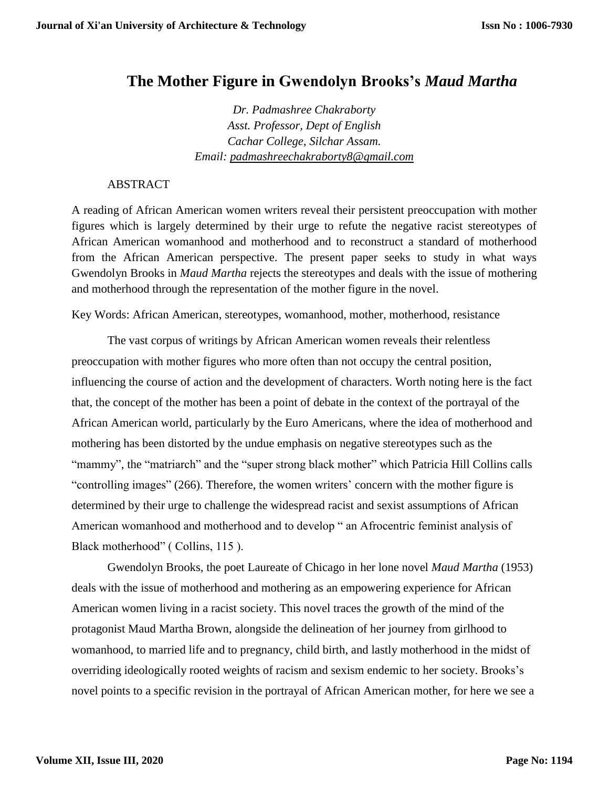## **The Mother Figure in Gwendolyn Brooks's** *Maud Martha*

*Dr. Padmashree Chakraborty Asst. Professor, Dept of English Cachar College, Silchar Assam. Email: [padmashreechakraborty8@gmail.com](mailto:padmashreechakraborty8@gmail.com)*

## ABSTRACT

A reading of African American women writers reveal their persistent preoccupation with mother figures which is largely determined by their urge to refute the negative racist stereotypes of African American womanhood and motherhood and to reconstruct a standard of motherhood from the African American perspective. The present paper seeks to study in what ways Gwendolyn Brooks in *Maud Martha* rejects the stereotypes and deals with the issue of mothering and motherhood through the representation of the mother figure in the novel.

Key Words: African American, stereotypes, womanhood, mother, motherhood, resistance

The vast corpus of writings by African American women reveals their relentless preoccupation with mother figures who more often than not occupy the central position, influencing the course of action and the development of characters. Worth noting here is the fact that, the concept of the mother has been a point of debate in the context of the portrayal of the African American world, particularly by the Euro Americans, where the idea of motherhood and mothering has been distorted by the undue emphasis on negative stereotypes such as the "mammy", the "matriarch" and the "super strong black mother" which Patricia Hill Collins calls "controlling images" (266). Therefore, the women writers' concern with the mother figure is determined by their urge to challenge the widespread racist and sexist assumptions of African American womanhood and motherhood and to develop " an Afrocentric feminist analysis of Black motherhood" (Collins, 115).

Gwendolyn Brooks, the poet Laureate of Chicago in her lone novel *Maud Martha* (1953) deals with the issue of motherhood and mothering as an empowering experience for African American women living in a racist society. This novel traces the growth of the mind of the protagonist Maud Martha Brown, alongside the delineation of her journey from girlhood to womanhood, to married life and to pregnancy, child birth, and lastly motherhood in the midst of overriding ideologically rooted weights of racism and sexism endemic to her society. Brooks's novel points to a specific revision in the portrayal of African American mother, for here we see a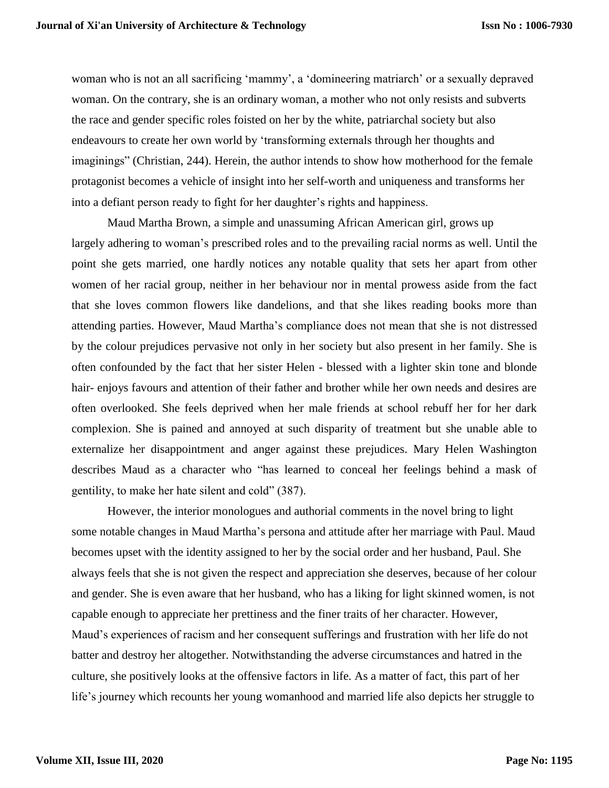woman who is not an all sacrificing 'mammy', a 'domineering matriarch' or a sexually depraved woman. On the contrary, she is an ordinary woman, a mother who not only resists and subverts the race and gender specific roles foisted on her by the white, patriarchal society but also endeavours to create her own world by 'transforming externals through her thoughts and imaginings" (Christian, 244). Herein, the author intends to show how motherhood for the female protagonist becomes a vehicle of insight into her self-worth and uniqueness and transforms her into a defiant person ready to fight for her daughter's rights and happiness.

Maud Martha Brown, a simple and unassuming African American girl, grows up largely adhering to woman's prescribed roles and to the prevailing racial norms as well. Until the point she gets married, one hardly notices any notable quality that sets her apart from other women of her racial group, neither in her behaviour nor in mental prowess aside from the fact that she loves common flowers like dandelions, and that she likes reading books more than attending parties. However, Maud Martha's compliance does not mean that she is not distressed by the colour prejudices pervasive not only in her society but also present in her family. She is often confounded by the fact that her sister Helen - blessed with a lighter skin tone and blonde hair- enjoys favours and attention of their father and brother while her own needs and desires are often overlooked. She feels deprived when her male friends at school rebuff her for her dark complexion. She is pained and annoyed at such disparity of treatment but she unable able to externalize her disappointment and anger against these prejudices. Mary Helen Washington describes Maud as a character who "has learned to conceal her feelings behind a mask of gentility, to make her hate silent and cold" (387).

However, the interior monologues and authorial comments in the novel bring to light some notable changes in Maud Martha's persona and attitude after her marriage with Paul. Maud becomes upset with the identity assigned to her by the social order and her husband, Paul. She always feels that she is not given the respect and appreciation she deserves, because of her colour and gender. She is even aware that her husband, who has a liking for light skinned women, is not capable enough to appreciate her prettiness and the finer traits of her character. However, Maud's experiences of racism and her consequent sufferings and frustration with her life do not batter and destroy her altogether. Notwithstanding the adverse circumstances and hatred in the culture, she positively looks at the offensive factors in life. As a matter of fact, this part of her life's journey which recounts her young womanhood and married life also depicts her struggle to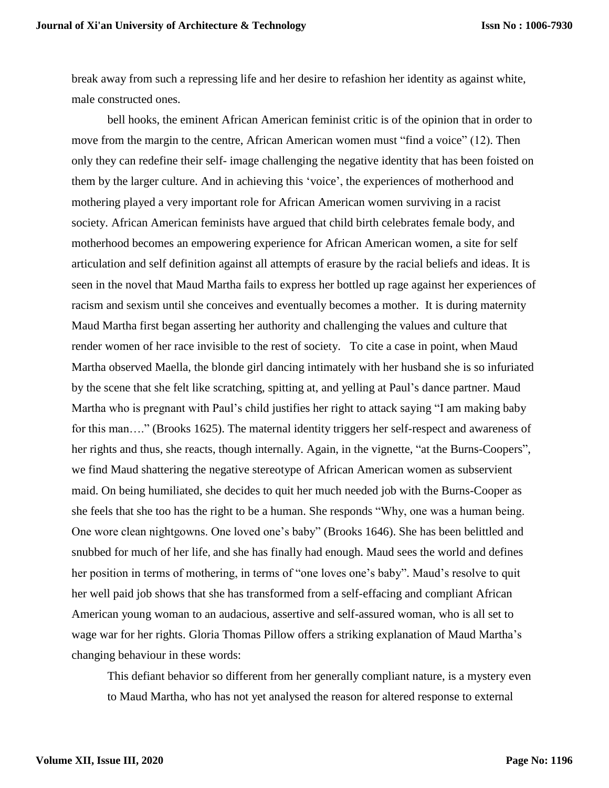break away from such a repressing life and her desire to refashion her identity as against white, male constructed ones.

bell hooks, the eminent African American feminist critic is of the opinion that in order to move from the margin to the centre, African American women must "find a voice" (12). Then only they can redefine their self- image challenging the negative identity that has been foisted on them by the larger culture. And in achieving this 'voice', the experiences of motherhood and mothering played a very important role for African American women surviving in a racist society. African American feminists have argued that child birth celebrates female body, and motherhood becomes an empowering experience for African American women, a site for self articulation and self definition against all attempts of erasure by the racial beliefs and ideas. It is seen in the novel that Maud Martha fails to express her bottled up rage against her experiences of racism and sexism until she conceives and eventually becomes a mother. It is during maternity Maud Martha first began asserting her authority and challenging the values and culture that render women of her race invisible to the rest of society. To cite a case in point, when Maud Martha observed Maella, the blonde girl dancing intimately with her husband she is so infuriated by the scene that she felt like scratching, spitting at, and yelling at Paul's dance partner. Maud Martha who is pregnant with Paul's child justifies her right to attack saying "I am making baby for this man...." (Brooks 1625). The maternal identity triggers her self-respect and awareness of her rights and thus, she reacts, though internally. Again, in the vignette, "at the Burns-Coopers", we find Maud shattering the negative stereotype of African American women as subservient maid. On being humiliated, she decides to quit her much needed job with the Burns-Cooper as she feels that she too has the right to be a human. She responds "Why, one was a human being. One wore clean nightgowns. One loved one's baby" (Brooks 1646). She has been belittled and snubbed for much of her life, and she has finally had enough. Maud sees the world and defines her position in terms of mothering, in terms of "one loves one's baby". Maud's resolve to quit her well paid job shows that she has transformed from a self-effacing and compliant African American young woman to an audacious, assertive and self-assured woman, who is all set to wage war for her rights. Gloria Thomas Pillow offers a striking explanation of Maud Martha's changing behaviour in these words:

This defiant behavior so different from her generally compliant nature, is a mystery even to Maud Martha, who has not yet analysed the reason for altered response to external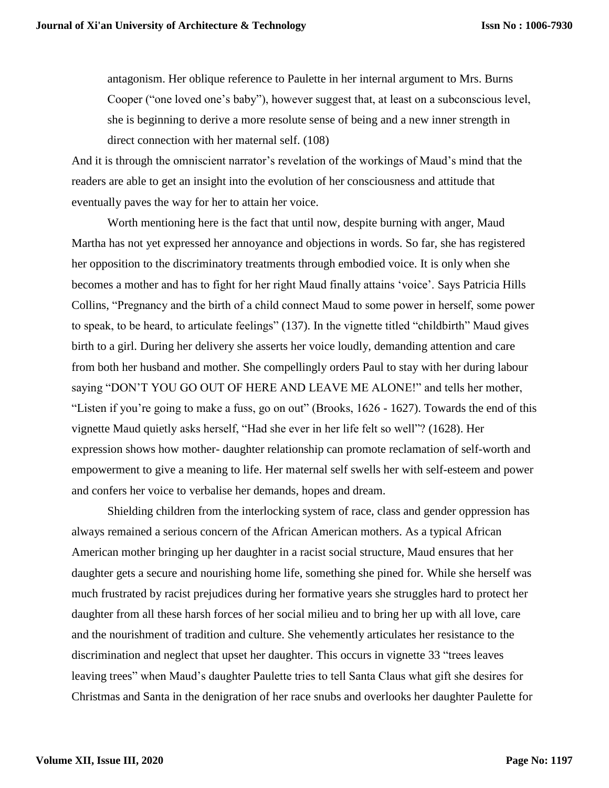antagonism. Her oblique reference to Paulette in her internal argument to Mrs. Burns Cooper ("one loved one's baby"), however suggest that, at least on a subconscious level, she is beginning to derive a more resolute sense of being and a new inner strength in direct connection with her maternal self. (108)

And it is through the omniscient narrator's revelation of the workings of Maud's mind that the readers are able to get an insight into the evolution of her consciousness and attitude that eventually paves the way for her to attain her voice.

Worth mentioning here is the fact that until now, despite burning with anger, Maud Martha has not yet expressed her annoyance and objections in words. So far, she has registered her opposition to the discriminatory treatments through embodied voice. It is only when she becomes a mother and has to fight for her right Maud finally attains 'voice'. Says Patricia Hills Collins, "Pregnancy and the birth of a child connect Maud to some power in herself, some power to speak, to be heard, to articulate feelings" (137). In the vignette titled "childbirth" Maud gives birth to a girl. During her delivery she asserts her voice loudly, demanding attention and care from both her husband and mother. She compellingly orders Paul to stay with her during labour saying "DON'T YOU GO OUT OF HERE AND LEAVE ME ALONE!" and tells her mother, "Listen if you're going to make a fuss, go on out" (Brooks, 1626 - 1627). Towards the end of this vignette Maud quietly asks herself, "Had she ever in her life felt so well"? (1628). Her expression shows how mother- daughter relationship can promote reclamation of self-worth and empowerment to give a meaning to life. Her maternal self swells her with self-esteem and power and confers her voice to verbalise her demands, hopes and dream.

Shielding children from the interlocking system of race, class and gender oppression has always remained a serious concern of the African American mothers. As a typical African American mother bringing up her daughter in a racist social structure, Maud ensures that her daughter gets a secure and nourishing home life, something she pined for. While she herself was much frustrated by racist prejudices during her formative years she struggles hard to protect her daughter from all these harsh forces of her social milieu and to bring her up with all love, care and the nourishment of tradition and culture. She vehemently articulates her resistance to the discrimination and neglect that upset her daughter. This occurs in vignette 33 "trees leaves leaving trees" when Maud's daughter Paulette tries to tell Santa Claus what gift she desires for Christmas and Santa in the denigration of her race snubs and overlooks her daughter Paulette for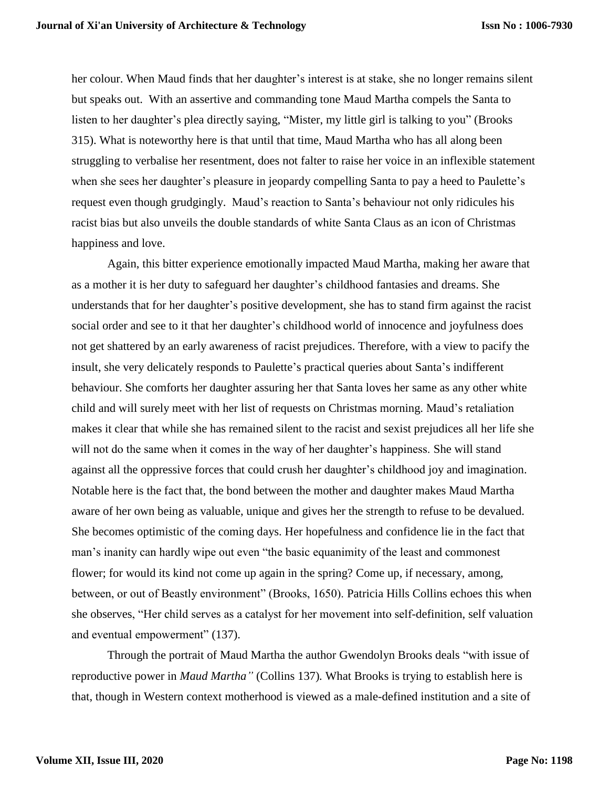her colour. When Maud finds that her daughter's interest is at stake, she no longer remains silent but speaks out. With an assertive and commanding tone Maud Martha compels the Santa to listen to her daughter's plea directly saying, "Mister, my little girl is talking to you" (Brooks 315). What is noteworthy here is that until that time, Maud Martha who has all along been struggling to verbalise her resentment, does not falter to raise her voice in an inflexible statement when she sees her daughter's pleasure in jeopardy compelling Santa to pay a heed to Paulette's request even though grudgingly. Maud's reaction to Santa's behaviour not only ridicules his racist bias but also unveils the double standards of white Santa Claus as an icon of Christmas happiness and love.

Again, this bitter experience emotionally impacted Maud Martha, making her aware that as a mother it is her duty to safeguard her daughter's childhood fantasies and dreams. She understands that for her daughter's positive development, she has to stand firm against the racist social order and see to it that her daughter's childhood world of innocence and joyfulness does not get shattered by an early awareness of racist prejudices. Therefore, with a view to pacify the insult, she very delicately responds to Paulette's practical queries about Santa's indifferent behaviour. She comforts her daughter assuring her that Santa loves her same as any other white child and will surely meet with her list of requests on Christmas morning. Maud's retaliation makes it clear that while she has remained silent to the racist and sexist prejudices all her life she will not do the same when it comes in the way of her daughter's happiness. She will stand against all the oppressive forces that could crush her daughter's childhood joy and imagination. Notable here is the fact that, the bond between the mother and daughter makes Maud Martha aware of her own being as valuable, unique and gives her the strength to refuse to be devalued. She becomes optimistic of the coming days. Her hopefulness and confidence lie in the fact that man's inanity can hardly wipe out even "the basic equanimity of the least and commonest flower; for would its kind not come up again in the spring? Come up, if necessary, among, between, or out of Beastly environment" (Brooks, 1650). Patricia Hills Collins echoes this when she observes, "Her child serves as a catalyst for her movement into self-definition, self valuation and eventual empowerment" (137).

Through the portrait of Maud Martha the author Gwendolyn Brooks deals "with issue of reproductive power in *Maud Martha"* (Collins 137)*.* What Brooks is trying to establish here is that, though in Western context motherhood is viewed as a male-defined institution and a site of